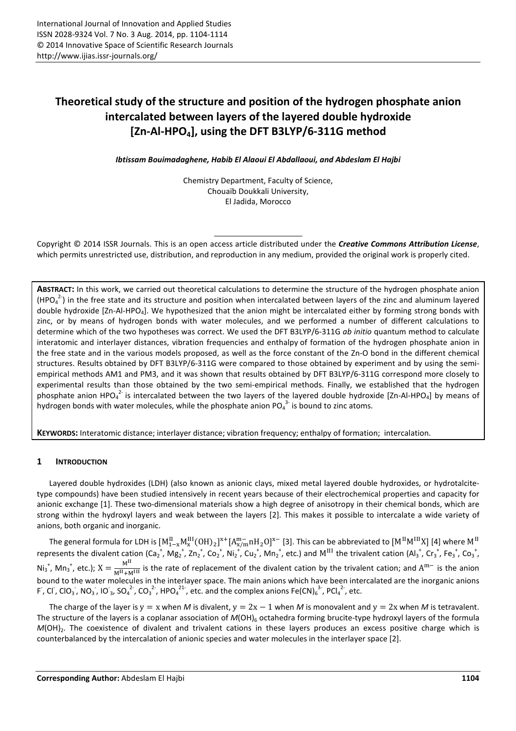# **Theoretical study of the structure and position of the hydrogen phosphate anion intercalated between layers of the layered double hydroxide [Zn-Al-HPO4], using the DFT B3LYP/6-311G method**

*Ibtissam Bouimadaghene, Habib El Alaoui El Abdallaoui, and Abdeslam El Hajbi* 

Chemistry Department, Faculty of Science, Chouaïb Doukkali University, El Jadida, Morocco

Copyright © 2014 ISSR Journals. This is an open access article distributed under the *Creative Commons Attribution License*, which permits unrestricted use, distribution, and reproduction in any medium, provided the original work is properly cited.

**ABSTRACT:** In this work, we carried out theoretical calculations to determine the structure of the hydrogen phosphate anion  $(HPO_4^2)$  in the free state and its structure and position when intercalated between layers of the zinc and aluminum layered double hydroxide [Zn-Al-HPO<sub>4</sub>]. We hypothesized that the anion might be intercalated either by forming strong bonds with zinc, or by means of hydrogen bonds with water molecules, and we performed a number of different calculations to determine which of the two hypotheses was correct. We used the DFT B3LYP/6-311G *ab initio* quantum method to calculate interatomic and interlayer distances, vibration frequencies and enthalpy of formation of the hydrogen phosphate anion in the free state and in the various models proposed, as well as the force constant of the Zn-O bond in the different chemical structures. Results obtained by DFT B3LYP/6-311G were compared to those obtained by experiment and by using the semiempirical methods AM1 and PM3, and it was shown that results obtained by DFT B3LYP/6-311G correspond more closely to experimental results than those obtained by the two semi-empirical methods. Finally, we established that the hydrogen phosphate anion HPO<sub>4</sub><sup>2</sup> is intercalated between the two layers of the layered double hydroxide [Zn-Al-HPO<sub>4</sub>] by means of hydrogen bonds with water molecules, while the phosphate anion PO $_4^{3}$  is bound to zinc atoms.

**KEYWORDS:** Interatomic distance; interlayer distance; vibration frequency; enthalpy of formation; intercalation.

### **1 INTRODUCTION**

Layered double hydroxides (LDH) (also known as anionic clays, mixed metal layered double hydroxides, or hydrotalcitetype compounds) have been studied intensively in recent years because of their electrochemical properties and capacity for anionic exchange [1]. These two-dimensional materials show a high degree of anisotropy in their chemical bonds, which are strong within the hydroxyl layers and weak between the layers [2]. This makes it possible to intercalate a wide variety of anions, both organic and inorganic.

The general formula for LDH is  $[M^{\rm II}_{1-x}M^{\rm III}_{\rm x}(0{\rm H})_2]^{x+}[A^{m-}_{\rm x/m}$ n ${\rm H}_2{\rm O}]^{x-}$  [3]. This can be abbreviated to  $[M^{\rm II}M^{\rm III}{\rm X}]$  [4] where  ${\rm M}^{\rm II}$ represents the divalent cation (Ca<sub>2</sub><sup>+</sup>, Mg<sub>2</sub><sup>+</sup>, Zn<sub>2</sub><sup>+</sup>, Co<sub>2</sub><sup>+</sup>, Ni<sub>2</sub><sup>+</sup>, Cu<sub>2</sub><sup>+</sup>, Mn<sub>2</sub><sup>+</sup>, etc.) and M<sup>III</sup> the trivalent cation (Al<sub>3</sub><sup>+</sup>, Cr<sub>3</sub><sup>+</sup>, Fe<sub>3</sub><sup>+</sup>, Co<sub>3</sub><sup>+</sup>,  $Ni_3^*$ , Mn<sub>3</sub><sup>\*</sup>, etc.);  $X = \frac{M^{II}}{M^{II} + M^{III}}$  is the rate of replacement of the divalent cation by the trivalent cation; and  $A^{m-}$  is the anion bound to the water molecules in the interlayer space. The main anions which have been intercalated are the inorganic anions F, Cl, ClO<sub>3</sub>, NO<sub>3</sub>, IO<sub>3</sub>, SO<sub>4</sub><sup>2</sup>, CO<sub>3</sub><sup>2</sup>, HPO<sub>4</sub><sup>21</sup>, etc. and the complex anions Fe(CN)<sub>6</sub><sup>3</sup>, PCl<sub>4</sub><sup>2</sup>, etc.

The charge of the layer is y = x when *M* is divalent, y =  $2x - 1$  when *M* is monovalent and y = 2x when *M* is tetravalent. The structure of the layers is a coplanar association of *M*(OH)<sub>6</sub> octahedra forming brucite-type hydroxyl layers of the formula *M*(OH)<sub>2</sub>. The coexistence of divalent and trivalent cations in these layers produces an excess positive charge which is counterbalanced by the intercalation of anionic species and water molecules in the interlayer space [2].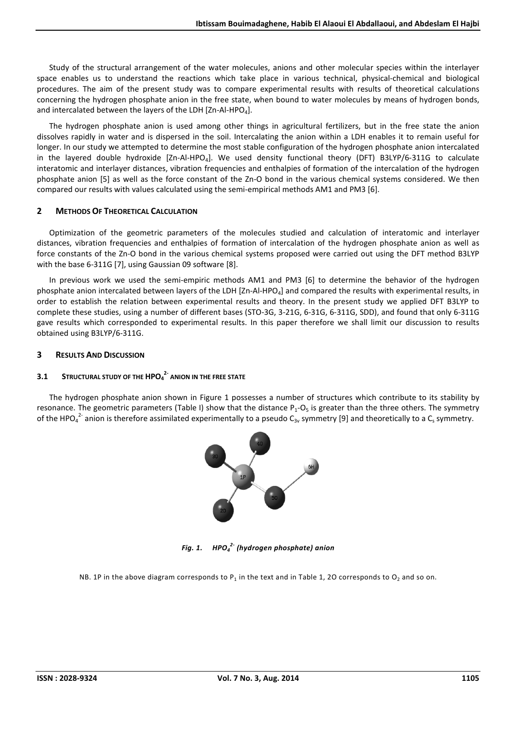Study of the structural arrangement of the water molecules, anions and other molecular species within the interlayer space enables us to understand the reactions which take place in various technical, physical-chemical and biological procedures. The aim of the present study was to compare experimental results with results of theoretical calculations concerning the hydrogen phosphate anion in the free state, when bound to water molecules by means of hydrogen bonds, and intercalated between the layers of the LDH  $[Zn-AI-HPO<sub>4</sub>].$ 

The hydrogen phosphate anion is used among other things in agricultural fertilizers, but in the free state the anion dissolves rapidly in water and is dispersed in the soil. Intercalating the anion within a LDH enables it to remain useful for longer. In our study we attempted to determine the most stable configuration of the hydrogen phosphate anion intercalated in the layered double hydroxide  $[Zn-AI+HPO<sub>4</sub>]$ . We used density functional theory (DFT) B3LYP/6-311G to calculate interatomic and interlayer distances, vibration frequencies and enthalpies of formation of the intercalation of the hydrogen phosphate anion [5] as well as the force constant of the Zn-O bond in the various chemical systems considered. We then compared our results with values calculated using the semi-empirical methods AM1 and PM3 [6].

### **2 METHODS OF THEORETICAL CALCULATION**

Optimization of the geometric parameters of the molecules studied and calculation of interatomic and interlayer distances, vibration frequencies and enthalpies of formation of intercalation of the hydrogen phosphate anion as well as force constants of the Zn-O bond in the various chemical systems proposed were carried out using the DFT method B3LYP with the base 6-311G [7], using Gaussian 09 software [8].

In previous work we used the semi-empiric methods AM1 and PM3 [6] to determine the behavior of the hydrogen phosphate anion intercalated between layers of the LDH  $[2n-AI+HPO<sub>4</sub>]$  and compared the results with experimental results, in order to establish the relation between experimental results and theory. In the present study we applied DFT B3LYP to complete these studies, using a number of different bases (STO-3G, 3-21G, 6-31G, 6-311G, SDD), and found that only 6-311G gave results which corresponded to experimental results. In this paper therefore we shall limit our discussion to results obtained using B3LYP/6-311G.

### **3 RESULTS AND DISCUSSION**

## **3.1 STRUCTURAL STUDY OF THE HPO<sup>4</sup> 2- ANION IN THE FREE STATE**

The hydrogen phosphate anion shown in Figure 1 possesses a number of structures which contribute to its stability by resonance. The geometric parameters (Table I) show that the distance  $P_1-O_5$  is greater than the three others. The symmetry of the HPO<sub>4</sub><sup>2-</sup> anion is therefore assimilated experimentally to a pseudo C<sub>3v</sub> symmetry [9] and theoretically to a C<sub>s</sub> symmetry.



*Fig. 1. HPO<sup>4</sup> 2- (hydrogen phosphate) anion* 

NB. 1P in the above diagram corresponds to  $P_1$  in the text and in Table 1, 2O corresponds to  $O_2$  and so on.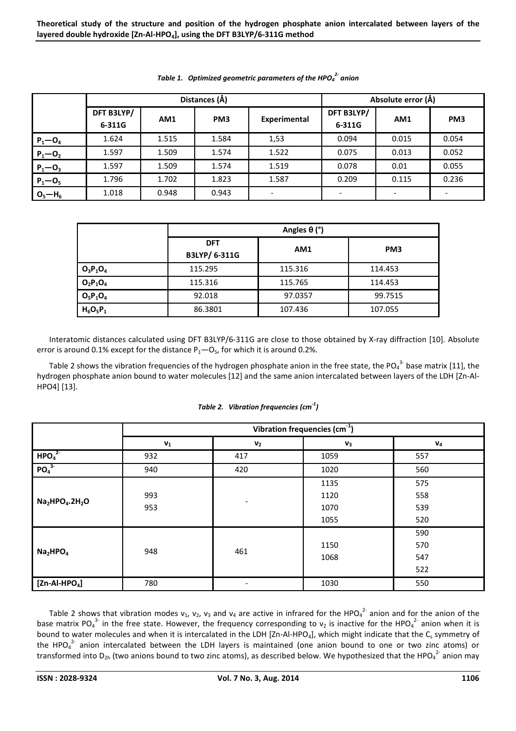|             |                      | Distances (Å) | Absolute error (Å) |                 |                      |       |                 |
|-------------|----------------------|---------------|--------------------|-----------------|----------------------|-------|-----------------|
|             | DFT B3LYP/<br>6-311G | AM1           | PM <sub>3</sub>    | Experimental    | DFT B3LYP/<br>6-311G | AM1   | PM <sub>3</sub> |
| $P_1 - O_4$ | 1.624                | 1.515         | 1.584              | 1,53            | 0.094                | 0.015 | 0.054           |
| $P_1 - O_2$ | 1.597                | 1.509         | 1.574              | 1.522           | 0.075                | 0.013 | 0.052           |
| $P_1 - O_3$ | 1.597                | 1.509         | 1.574              | 1.519           | 0.078                | 0.01  | 0.055           |
| $P_1 - O_5$ | 1.796                | 1.702         | 1.823              | 1.587           | 0.209                | 0.115 | 0.236           |
| $O_5 - H_6$ | 1.018                | 0.948         | 0.943              | $\qquad \qquad$ |                      |       |                 |

*Table 1. Optimized geometric parameters of the HPO<sup>4</sup> 2- anion* 

|             |                             | Angles $\theta$ (°) |                 |  |  |  |  |
|-------------|-----------------------------|---------------------|-----------------|--|--|--|--|
|             | <b>DFT</b><br>B3LYP/ 6-311G | AM1                 | PM <sub>3</sub> |  |  |  |  |
| $O_3P_1O_4$ | 115.295                     | 115.316             | 114.453         |  |  |  |  |
| $O_2P_1O_4$ | 115.316                     | 115.765             | 114.453         |  |  |  |  |
| $O_5P_1O_4$ | 92.018                      | 97.0357             | 99.7515         |  |  |  |  |
| $H_6O_5P_1$ | 86.3801                     | 107.436             | 107.055         |  |  |  |  |

Interatomic distances calculated using DFT B3LYP/6-311G are close to those obtained by X-ray diffraction [10]. Absolute error is around 0.1% except for the distance  $P_1 - O_5$ , for which it is around 0.2%.

Table 2 shows the vibration frequencies of the hydrogen phosphate anion in the free state, the PO<sub>4</sub><sup>3-</sup> base matrix [11], the hydrogen phosphate anion bound to water molecules [12] and the same anion intercalated between layers of the LDH [Zn-Al-HPO4] [13].

|                                  | Vibration frequencies (cm <sup>-1</sup> ) |                |       |       |  |  |  |
|----------------------------------|-------------------------------------------|----------------|-------|-------|--|--|--|
|                                  | $\mathbf{v}_1$                            | V <sub>2</sub> | $V_3$ | $V_4$ |  |  |  |
| HPO <sub>4</sub> <sup>2</sup>    | 932                                       | 417            | 1059  | 557   |  |  |  |
| PO <sub>4</sub> <sup>3</sup>     | 940                                       | 420            | 1020  | 560   |  |  |  |
|                                  |                                           |                | 1135  | 575   |  |  |  |
| $Na2HPO4.2H2O$                   | 993                                       |                | 1120  | 558   |  |  |  |
|                                  | 953                                       |                | 1070  | 539   |  |  |  |
|                                  |                                           |                | 1055  | 520   |  |  |  |
|                                  |                                           |                |       | 590   |  |  |  |
| Na <sub>2</sub> HPO <sub>4</sub> | 948                                       | 461            | 1150  | 570   |  |  |  |
|                                  |                                           |                | 1068  | 547   |  |  |  |
|                                  |                                           |                |       | 522   |  |  |  |
| $[Zn-AI-HPO4]$                   | 780                                       | -              | 1030  | 550   |  |  |  |

*Table 2. Vibration frequencies (cm-1)* 

Table 2 shows that vibration modes  $v_1$ ,  $v_2$ ,  $v_3$  and  $v_4$  are active in infrared for the HPO<sub>4</sub><sup>2-</sup> anion and for the anion of the base matrix PO<sub>4</sub><sup>3</sup> in the free state. However, the frequency corresponding to  $v_2$  is inactive for the HPO<sub>4</sub><sup>2</sup> anion when it is bound to water molecules and when it is intercalated in the LDH [Zn-Al-HPO<sub>4</sub>], which might indicate that the C<sub>s</sub> symmetry of the HPO $_4^2$  anion intercalated between the LDH layers is maintained (one anion bound to one or two zinc atoms) or transformed into D<sub>2h</sub> (two anions bound to two zinc atoms), as described below. We hypothesized that the HPO<sub>4</sub><sup>2-</sup> anion may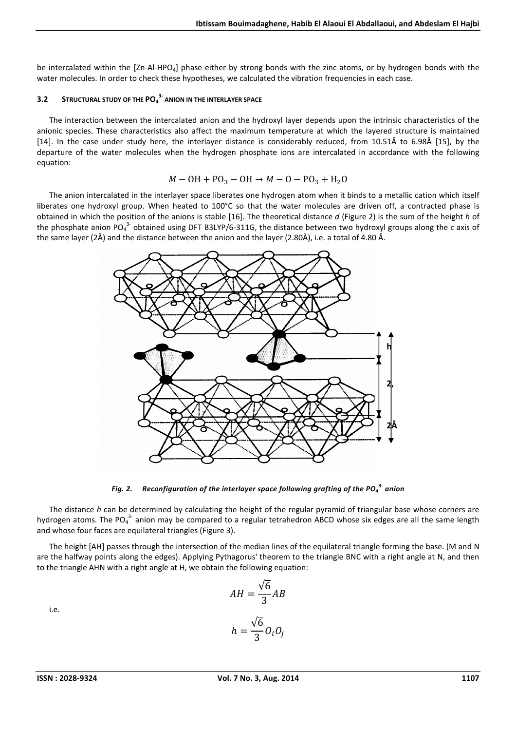be intercalated within the [Zn-Al-HPO<sub>4</sub>] phase either by strong bonds with the zinc atoms, or by hydrogen bonds with the water molecules. In order to check these hypotheses, we calculated the vibration frequencies in each case.

### **3.2 STRUCTURAL STUDY OF THE PO<sup>4</sup> 3- ANION IN THE INTERLAYER SPACE**

The interaction between the intercalated anion and the hydroxyl layer depends upon the intrinsic characteristics of the anionic species. These characteristics also affect the maximum temperature at which the layered structure is maintained [14]. In the case under study here, the interlayer distance is considerably reduced, from 10.51Å to 6.98Å [15], by the departure of the water molecules when the hydrogen phosphate ions are intercalated in accordance with the following equation:

$$
M - \mathrm{OH} + \mathrm{PO}_3 - \mathrm{OH} \rightarrow M - \mathrm{O} - \mathrm{PO}_3 + \mathrm{H}_2\mathrm{O}
$$

The anion intercalated in the interlayer space liberates one hydrogen atom when it binds to a metallic cation which itself liberates one hydroxyl group. When heated to 100°C so that the water molecules are driven off, a contracted phase is obtained in which the position of the anions is stable [16]. The theoretical distance *d* (Figure 2) is the sum of the height *h* of the phosphate anion PO<sub>4</sub><sup>3-</sup> obtained using DFT B3LYP/6-311G, the distance between two hydroxyl groups along the *c* axis of the same layer (2Å) and the distance between the anion and the layer (2.80Å), i.e. a total of 4.80 Å.



*Fig. 2. Reconfiguration of the interlayer space following grafting of the PO<sup>4</sup> 3- anion* 

The distance *h* can be determined by calculating the height of the regular pyramid of triangular base whose corners are hydrogen atoms. The PO<sub>4</sub><sup>3-</sup> anion may be compared to a regular tetrahedron ABCD whose six edges are all the same length and whose four faces are equilateral triangles (Figure 3).

The height [AH] passes through the intersection of the median lines of the equilateral triangle forming the base. (M and N are the halfway points along the edges). Applying Pythagorus' theorem to the triangle BNC with a right angle at N, and then to the triangle AHN with a right angle at H, we obtain the following equation:

√6

$$
\cdot e.
$$

i.e.

$$
AH = \frac{\sqrt{6}}{3}AB
$$

$$
h = \frac{\sqrt{6}}{3}O_iO_j
$$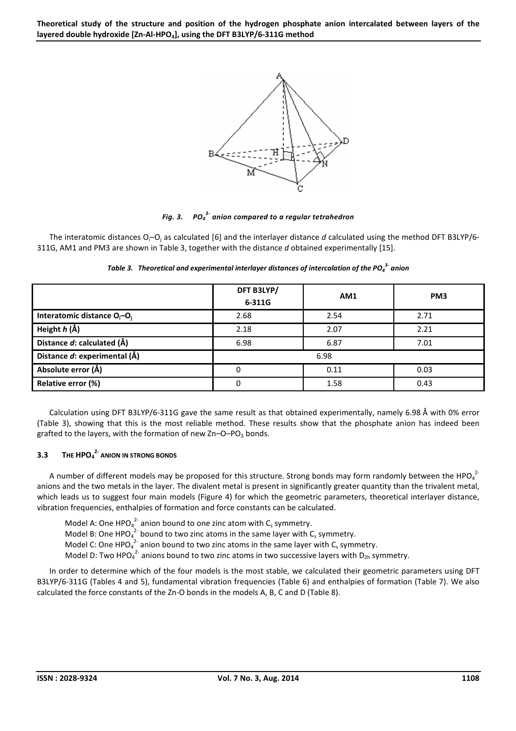

*Fig. 3. 3- anion compared to a regular tetrahedron* 

The interatomic distances O<sub>i</sub>-O<sub>i</sub> as calculated [6] and the interlayer distance *d* calculated using the method DFT B3LYP/6-311G, AM1 and PM3 are shown in Table 3, together with the distance *d* obtained experimentally [15].

|                                                     | DFT B3LYP/<br>6-311G | AM1  | PM <sub>3</sub> |
|-----------------------------------------------------|----------------------|------|-----------------|
| Interatomic distance O <sub>i</sub> -O <sub>i</sub> | 2.68                 | 2.54 | 2.71            |
| Height h (Å)                                        | 2.18                 | 2.07 | 2.21            |
| Distance d: calculated (Å)                          | 6.98                 | 6.87 | 7.01            |
| Distance d: experimental (Å)                        |                      | 6.98 |                 |
| Absolute error (Å)                                  | 0                    | 0.11 | 0.03            |
| Relative error (%)                                  | 0                    | 1.58 | 0.43            |

*Table 3. Theoretical and experimental interlayer distances of intercalation of the PO<sup>4</sup> 3- anion* 

Calculation using DFT B3LYP/6-311G gave the same result as that obtained experimentally, namely 6.98 Å with 0% error (Table 3), showing that this is the most reliable method. These results show that the phosphate anion has indeed been grafted to the layers, with the formation of new  $Zn-O-PO<sub>3</sub>$  bonds.

### **3.3 THE HPO<sup>4</sup> 2- ANION IN STRONG BONDS**

A number of different models may be proposed for this structure. Strong bonds may form randomly between the HPO $_4$ <sup>2</sup> anions and the two metals in the layer. The divalent metal is present in significantly greater quantity than the trivalent metal, which leads us to suggest four main models (Figure 4) for which the geometric parameters, theoretical interlayer distance, vibration frequencies, enthalpies of formation and force constants can be calculated.

Model A: One HPO<sub>4</sub><sup>2-</sup> anion bound to one zinc atom with C<sub>s</sub> symmetry. Model B: One HPO $_4^2$  bound to two zinc atoms in the same layer with C<sub>s</sub> symmetry. Model C: One HPO $_4^2$  anion bound to two zinc atoms in the same layer with C<sub>s</sub> symmetry. Model D: Two HPO<sub>4</sub><sup>2-</sup> anions bound to two zinc atoms in two successive layers with D<sub>2h</sub> symmetry.

In order to determine which of the four models is the most stable, we calculated their geometric parameters using DFT B3LYP/6-311G (Tables 4 and 5), fundamental vibration frequencies (Table 6) and enthalpies of formation (Table 7). We also calculated the force constants of the Zn-O bonds in the models A, B, C and D (Table 8).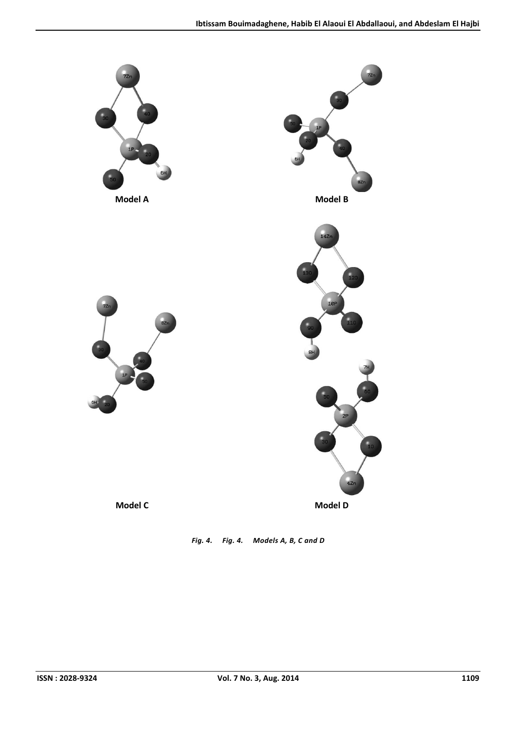

*Fig. 4. Fig. 4. Models A, B, C and D*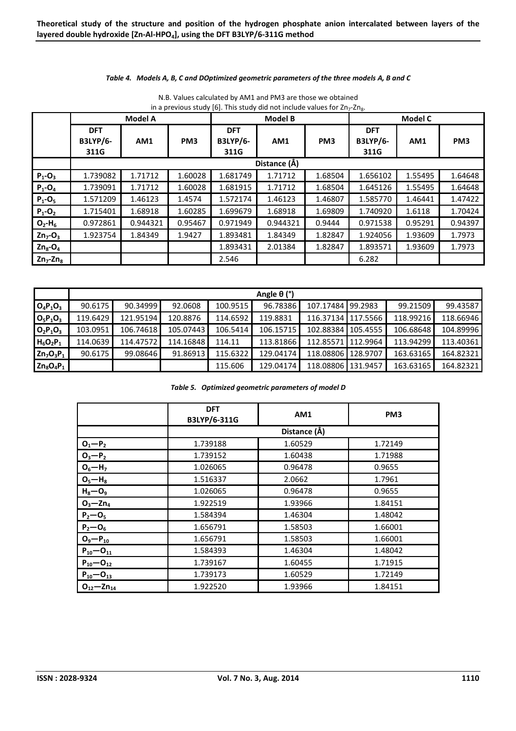#### *Table 4. Models A, B, C and DOptimized geometric parameters of the three models A, B and C*

|                         |                               | <b>Model A</b> |                 |                               | <b>Model B</b> |                 | <b>Model C</b>                |         |                 |
|-------------------------|-------------------------------|----------------|-----------------|-------------------------------|----------------|-----------------|-------------------------------|---------|-----------------|
|                         | <b>DFT</b><br><b>B3LYP/6-</b> | AM1            | PM <sub>3</sub> | <b>DFT</b><br><b>B3LYP/6-</b> | AM1            | PM <sub>3</sub> | <b>DFT</b><br><b>B3LYP/6-</b> | AM1     | PM <sub>3</sub> |
|                         | 311G                          |                |                 | 311G                          |                |                 | 311G                          |         |                 |
|                         |                               |                |                 |                               | Distance (Å)   |                 |                               |         |                 |
| $P_1 - O_3$             | 1.739082                      | 1.71712        | 1.60028         | 1.681749                      | 1.71712        | 1.68504         | 1.656102                      | 1.55495 | 1.64648         |
| $P_1 - O_4$             | 1.739091                      | 1.71712        | 1.60028         | 1.681915                      | 1.71712        | 1.68504         | 1.645126                      | 1.55495 | 1.64648         |
| $P_1 - O_5$             | 1.571209                      | 1.46123        | 1.4574          | 1.572174                      | 1.46123        | 1.46807         | 1.585770                      | 1.46441 | 1.47422         |
| $P_1 - O_2$             | 1.715401                      | 1.68918        | 1.60285         | 1.699679                      | 1.68918        | 1.69809         | 1.740920                      | 1.6118  | 1.70424         |
| $O_2-H_6$               | 0.972861                      | 0.944321       | 0.95467         | 0.971949                      | 0.944321       | 0.9444          | 0.971538                      | 0.95291 | 0.94397         |
| $Zn_7$ -O <sub>3</sub>  | 1.923754                      | 1.84349        | 1.9427          | 1.893481                      | 1.84349        | 1.82847         | 1.924056                      | 1.93609 | 1.7973          |
| $Zn_8$ -O <sub>4</sub>  |                               |                |                 | 1.893431                      | 2.01384        | 1.82847         | 1.893571                      | 1.93609 | 1.7973          |
| $Zn_7$ -Zn <sub>8</sub> |                               |                |                 | 2.546                         |                |                 | 6.282                         |         |                 |

N.B. Values calculated by AM1 and PM3 are those we obtained in a previous study [6]. This study did not include values for  $Zn<sub>7</sub>$ -Zn<sub>8</sub>.

|              |          |           |           |          | Angle $\theta$ (°) |                    |          |           |           |
|--------------|----------|-----------|-----------|----------|--------------------|--------------------|----------|-----------|-----------|
| $O_4P_1O_3$  | 90.6175  | 90.34999  | 92.0608   | 100.9515 | 96.78386           | 107.17484 99.2983  |          | 99.21509  | 99.43587  |
| $O_5P_1O_3$  | 119.6429 | 121.95194 | 120.8876  | 114.6592 | 119.8831           | 116.37134 117.5566 |          | 118.99216 | 118.66946 |
| $O_2P_1O_3$  | 103.0951 | 106.74618 | 105.07443 | 106.5414 | 106.15715          | 102.88384 105.4555 |          | 106.68648 | 104.89996 |
| $H_6O_2P_1$  | 114.0639 | 114.47572 | 114.16848 | 114.11   | 113.81866          | 112.85571 112.9964 |          | 113.94299 | 113.40361 |
| $Zn_7O_3P_1$ | 90.6175  | 99.08646  | 91.86913  | 115.6322 | 129.04174          | 118.08806 128.9707 |          | 163.63165 | 164.82321 |
| $Zn_8O_4P_1$ |          |           |           | 115.606  | 129.04174          | 118.08806          | 131.9457 | 163.63165 | 164.82321 |

*Table 5. Optimized geometric parameters of model D* 

|                    | <b>DFT</b><br>B3LYP/6-311G | AM1          | PM <sub>3</sub> |
|--------------------|----------------------------|--------------|-----------------|
|                    |                            | Distance (Å) |                 |
| $O_1 - P_2$        | 1.739188                   | 1.60529      | 1.72149         |
| $O_3-P_2$          | 1.739152                   | 1.60438      | 1.71988         |
| $O_6 - H_7$        | 1.026065                   | 0.96478      | 0.9655          |
| $O_5 - H_8$        | 1.516337                   | 2.0662       | 1.7961          |
| $H_8 - O_9$        | 1.026065                   | 0.96478      | 0.9655          |
| $O_3 - Zn_4$       | 1.922519                   | 1.93966      | 1.84151         |
| $P_2 - O_5$        | 1.584394                   | 1.46304      | 1.48042         |
| $P_2 - O_6$        | 1.656791                   | 1.58503      | 1.66001         |
| $O_9 - P_{10}$     | 1.656791                   | 1.58503      | 1.66001         |
| $P_{10} - O_{11}$  | 1.584393                   | 1.46304      | 1.48042         |
| $P_{10} - O_{12}$  | 1.739167                   | 1.60455      | 1.71915         |
| $P_{10} - O_{13}$  | 1.739173                   | 1.60529      | 1.72149         |
| $O_{12} - Zn_{14}$ | 1.922520                   | 1.93966      | 1.84151         |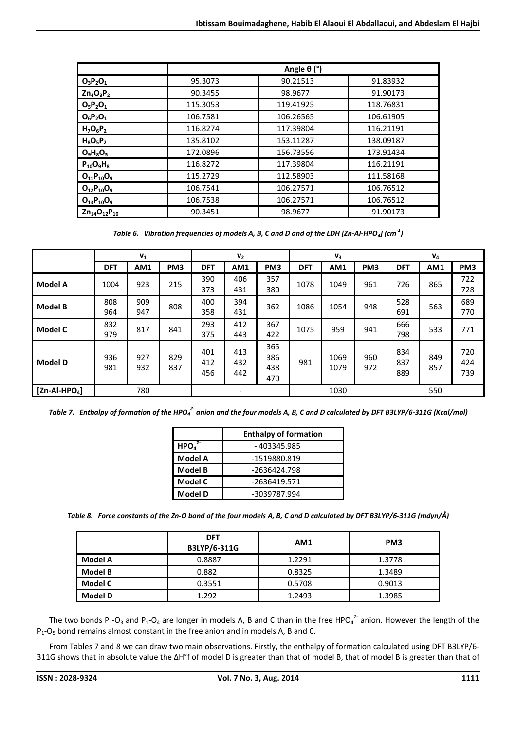|                       |          | Angle $\theta$ (°) |           |
|-----------------------|----------|--------------------|-----------|
| $O_3P_2O_1$           | 95.3073  | 90.21513           | 91.83932  |
| $Zn_4O_3P_2$          | 90.3455  | 98.9677            | 91.90173  |
| $O_5P_2O_1$           | 115.3053 | 119.41925          | 118.76831 |
| $O_6P_2O_1$           | 106.7581 | 106.26565          | 106.61905 |
| $H_7O_6P_2$           | 116.8274 | 117.39804          | 116.21191 |
| $H_8O_5P_2$           | 135.8102 | 153.11287          | 138.09187 |
| $O_9H_8O_5$           | 172.0896 | 156.73556          | 173.91434 |
| $P_{10}O_9H_8$        | 116.8272 | 117.39804          | 116.21191 |
| $O_{11}P_{10}O_9$     | 115.2729 | 112.58903          | 111.58168 |
| $O_{12}P_{10}O_9$     | 106.7541 | 106.27571          | 106.76512 |
| $O_{13}P_{10}O_9$     | 106.7538 | 106.27571          | 106.76512 |
| $Zn_{14}O_{12}P_{10}$ | 90.3451  | 98.9677            | 91.90173  |

*Table 6. Vibration frequencies of models A, B, C and D and of the LDH [Zn-Al-HPO<sup>4</sup> ] (cm-1)* 

|                |            | $V_1$      |                 |                   | V <sub>2</sub>               |                          |            | $V_3$        |                 |                   | $V_4$      |                   |
|----------------|------------|------------|-----------------|-------------------|------------------------------|--------------------------|------------|--------------|-----------------|-------------------|------------|-------------------|
|                | <b>DFT</b> | AM1        | PM <sub>3</sub> | <b>DFT</b>        | AM1                          | PM <sub>3</sub>          | <b>DFT</b> | AM1          | PM <sub>3</sub> | <b>DFT</b>        | AM1        | PM <sub>3</sub>   |
| <b>Model A</b> | 1004       | 923        | 215             | 390<br>373        | 406<br>431                   | 357<br>380               | 1078       | 1049         | 961             | 726               | 865        | 722<br>728        |
| <b>Model B</b> | 808<br>964 | 909<br>947 | 808             | 400<br>358        | 394<br>431                   | 362                      | 1086       | 1054         | 948             | 528<br>691        | 563        | 689<br>770        |
| <b>Model C</b> | 832<br>979 | 817        | 841             | 293<br>375        | 412<br>443                   | 367<br>422               | 1075       | 959          | 941             | 666<br>798        | 533        | 771               |
| <b>Model D</b> | 936<br>981 | 927<br>932 | 829<br>837      | 401<br>412<br>456 | 413<br>432<br>442            | 365<br>386<br>438<br>470 | 981        | 1069<br>1079 | 960<br>972      | 834<br>837<br>889 | 849<br>857 | 720<br>424<br>739 |
| $[Zn-AI-HPO4]$ |            | 780        |                 |                   | $\qquad \qquad \blacksquare$ |                          |            | 1030         |                 |                   | 550        |                   |

*Table 7. Enthalpy of formation of the HPO<sup>4</sup> 2- anion and the four models A, B, C and D calculated by DFT B3LYP/6-311G (Kcal/mol)* 

|                               | <b>Enthalpy of formation</b> |
|-------------------------------|------------------------------|
| HPO <sub>a</sub> <sup>2</sup> | - 403345.985                 |
| <b>Model A</b>                | -1519880.819                 |
| <b>Model B</b>                | -2636424.798                 |
| Model C                       | -2636419.571                 |
| <b>Model D</b>                | -3039787.994                 |

*Table 8. Force constants of the Zn-O bond of the four models A, B, C and D calculated by DFT B3LYP/6-311G (mdyn/Å)* 

|                | <b>DFT</b><br>B3LYP/6-311G | AM1    | PM <sub>3</sub> |
|----------------|----------------------------|--------|-----------------|
| Model A        | 0.8887                     | 1.2291 | 1.3778          |
| Model B        | 0.882                      | 0.8325 | 1.3489          |
| Model C        | 0.3551                     | 0.5708 | 0.9013          |
| <b>Model D</b> | 1.292                      | 1.2493 | 1.3985          |

The two bonds P<sub>1</sub>-O<sub>3</sub> and P<sub>1</sub>-O<sub>4</sub> are longer in models A, B and C than in the free HPO<sub>4</sub><sup>2</sup> anion. However the length of the  $P_1$ -O<sub>5</sub> bond remains almost constant in the free anion and in models A, B and C.

From Tables 7 and 8 we can draw two main observations. Firstly, the enthalpy of formation calculated using DFT B3LYP/6- 311G shows that in absolute value the ΔH°f of model D is greater than that of model B, that of model B is greater than that of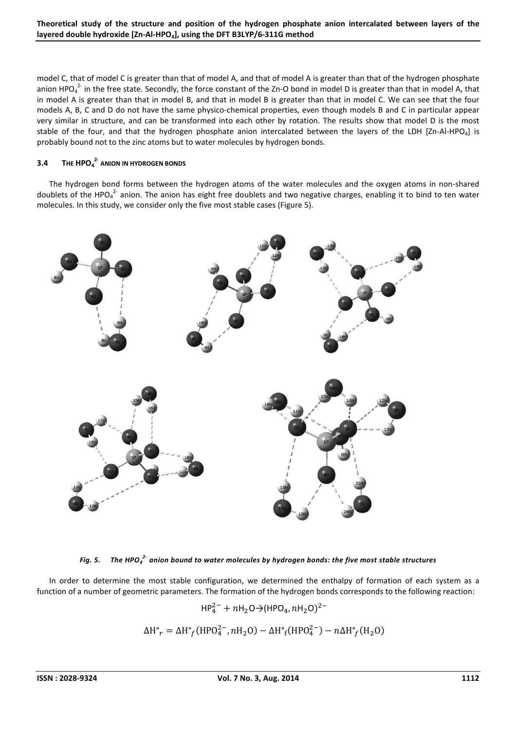model C, that of model C is greater than that of model A, and that of model A is greater than that of the hydrogen phosphate anion HPO $_4^2$  in the free state. Secondly, the force constant of the Zn-O bond in model D is greater than that in model A, that in model A is greater than that in model B, and that in model B is greater than that in model C. We can see that the four models A, B, C and D do not have the same physico-chemical properties, even though models B and C in particular appear very similar in structure, and can be transformed into each other by rotation. The results show that model D is the most stable of the four, and that the hydrogen phosphate anion intercalated between the layers of the LDH  $[Zn-AI+HPO<sub>4</sub>]$  is probably bound not to the zinc atoms but to water molecules by hydrogen bonds.

### **3.4 THE HPO<sup>4</sup> 2- ANION IN HYDROGEN BONDS**

The hydrogen bond forms between the hydrogen atoms of the water molecules and the oxygen atoms in non-shared doublets of the HPO $_4^2$  anion. The anion has eight free doublets and two negative charges, enabling it to bind to ten water molecules. In this study, we consider only the five most stable cases (Figure 5).



*Fig. 5. The HPO<sup>4</sup> 2- anion bound to water molecules by hydrogen bonds: the five most stable structures* 

In order to determine the most stable configuration, we determined the enthalpy of formation of each system as a function of a number of geometric parameters. The formation of the hydrogen bonds corresponds to the following reaction:

$$
HP_4^{2-} + nH_2O \rightarrow (HPO_4, nH_2O)^{2-}
$$

$$
\Delta H^{\circ}{}_{r} = \Delta H^{\circ}{}_{f}(\text{HPO}_{4}^{2-}, n\text{H}_{2}\text{O}) - \Delta H^{\circ}{}_{f}(\text{HPO}_{4}^{2-}) - n\Delta H^{\circ}{}_{f}(\text{H}_{2}\text{O})
$$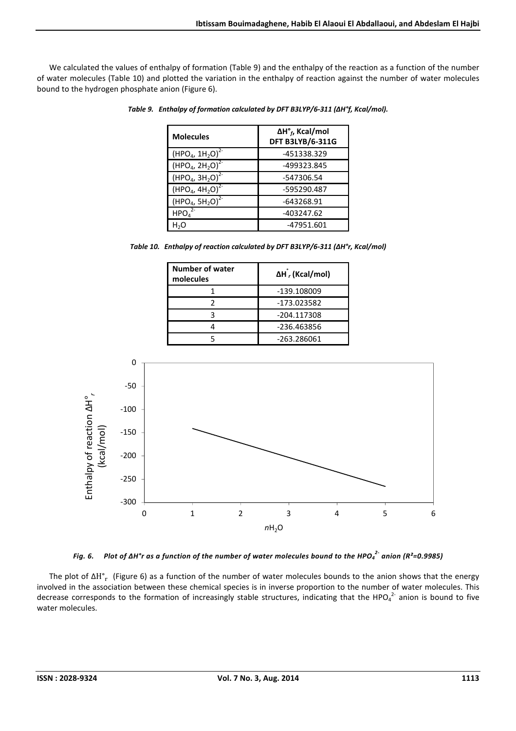We calculated the values of enthalpy of formation (Table 9) and the enthalpy of the reaction as a function of the number of water molecules (Table 10) and plotted the variation in the enthalpy of reaction against the number of water molecules bound to the hydrogen phosphate anion (Figure 6).

| <b>Molecules</b>              | $\Delta H^{\circ}_{f}$ , Kcal/mol<br><b>DFT B3LYB/6-311G</b> |
|-------------------------------|--------------------------------------------------------------|
| $(HPO4, 1H2O)2$               | -451338.329                                                  |
| $(HPO4, 2H2O)2$               | -499323.845                                                  |
| $(HPO4, 3H2O)2$               | -547306.54                                                   |
| $(HPO4, 4H2O)^{2}$            | -595290.487                                                  |
| $(HPO4, 5H2O)2$               | -643268.91                                                   |
| HPO <sub>4</sub> <sup>2</sup> | -403247.62                                                   |
| H,O                           | -47951.601                                                   |

*Table 9. Enthalpy of formation calculated by DFT B3LYP/6-311 (ΔH°f, Kcal/mol).* 

*Table 10. Enthalpy of reaction calculated by DFT B3LYP/6-311 (ΔH°r, Kcal/mol)* 

| <b>Number of water</b><br>molecules | $\Delta H$ , (Kcal/mol) |
|-------------------------------------|-------------------------|
|                                     | -139.108009             |
|                                     | -173.023582             |
|                                     | -204.117308             |
|                                     | -236.463856             |
|                                     | -263.286061             |





The plot of  $\Delta H^o$ <sub>r</sub> (Figure 6) as a function of the number of water molecules bounds to the anion shows that the energy involved in the association between these chemical species is in inverse proportion to the number of water molecules. This decrease corresponds to the formation of increasingly stable structures, indicating that the HPO $_4^2$  anion is bound to five water molecules.